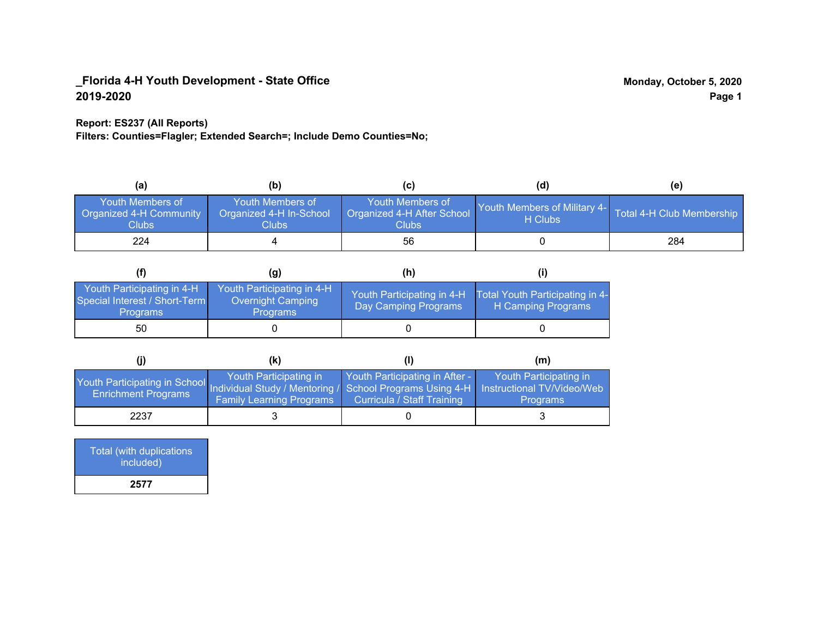## **Report: ES237 (All Reports)**

**Filters: Counties=Flagler; Extended Search=; Include Demo Counties=No;**

| (a)                                                         | (b)                                                  | (C)                                                       | (d)                                                               | (e) |
|-------------------------------------------------------------|------------------------------------------------------|-----------------------------------------------------------|-------------------------------------------------------------------|-----|
| <b>Youth Members of</b><br>Organized 4-H Community<br>Clubs | Youth Members of<br>Organized 4-H In-School<br>Clubs | Youth Members of<br>Organized 4-H After School<br>Clubs : | Youth Members of Military 4- Total 4-H Club Membership<br>H Clubs |     |
| 224                                                         |                                                      | 56                                                        |                                                                   | 284 |

|                                                                                | (g)                                                                | (h)                                                |                                                       |
|--------------------------------------------------------------------------------|--------------------------------------------------------------------|----------------------------------------------------|-------------------------------------------------------|
| Youth Participating in 4-H<br>Special Interest / Short-Term<br><b>Programs</b> | Youth Participating in 4-H<br>Overnight Camping<br><b>Programs</b> | Youth Participating in 4-H<br>Day Camping Programs | Total Youth Participating in 4-<br>H Camping Programs |
| 50                                                                             |                                                                    |                                                    |                                                       |

|                                                                                                               | (k)                                                       |                                                              | (m)                                                                     |
|---------------------------------------------------------------------------------------------------------------|-----------------------------------------------------------|--------------------------------------------------------------|-------------------------------------------------------------------------|
| Youth Participating in School Individual Study / Mentoring / School Programs Using 4-H<br>Enrichment Programs | Youth Participating in<br><b>Family Learning Programs</b> | Youth Participating in After -<br>Curricula / Staff Training | Youth Participating in<br>Instructional TV/Video/Web<br><b>Programs</b> |
| 2237                                                                                                          |                                                           |                                                              |                                                                         |

| Total (with duplications<br>included) |
|---------------------------------------|
| 2577                                  |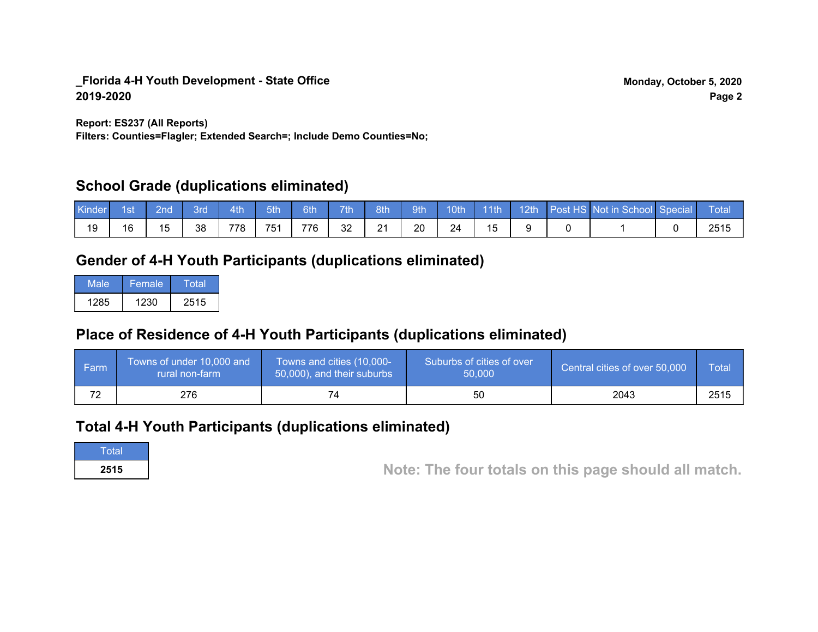**Report: ES237 (All Reports)**

**Filters: Counties=Flagler; Extended Search=; Include Demo Counties=No;**

# **School Grade (duplications eliminated)**

| Kinder | 1st | 2nd\ | 3rd | 4th | 5th | 6th | 7th | 8th/ | $\sqrt{9}$ th | 10 <sub>th</sub> | $\vert$ 11th |  | 12th Post HS Not in School Special | Total |
|--------|-----|------|-----|-----|-----|-----|-----|------|---------------|------------------|--------------|--|------------------------------------|-------|
| 19     | 16  | 15   | 38  | 778 | 751 | 776 | 32  | 21   | 20            | 24               |              |  |                                    | 2515  |

# **Gender of 4-H Youth Participants (duplications eliminated)**

| Male | Female | Total |
|------|--------|-------|
| 1285 | 1230   | 2515  |

# **Place of Residence of 4-H Youth Participants (duplications eliminated)**

| l Farm | Towns of under 10,000 and<br>rural non-farm | Towns and cities (10,000-<br>50,000), and their suburbs | Suburbs of cities of over<br>50,000 | Central cities of over 50,000 | Total |
|--------|---------------------------------------------|---------------------------------------------------------|-------------------------------------|-------------------------------|-------|
| 72     | 276                                         |                                                         | 50                                  | 2043                          | 2515  |

# **Total 4-H Youth Participants (duplications eliminated)**

**Total** 

**<sup>2515</sup> Note: The four totals on this page should all match.**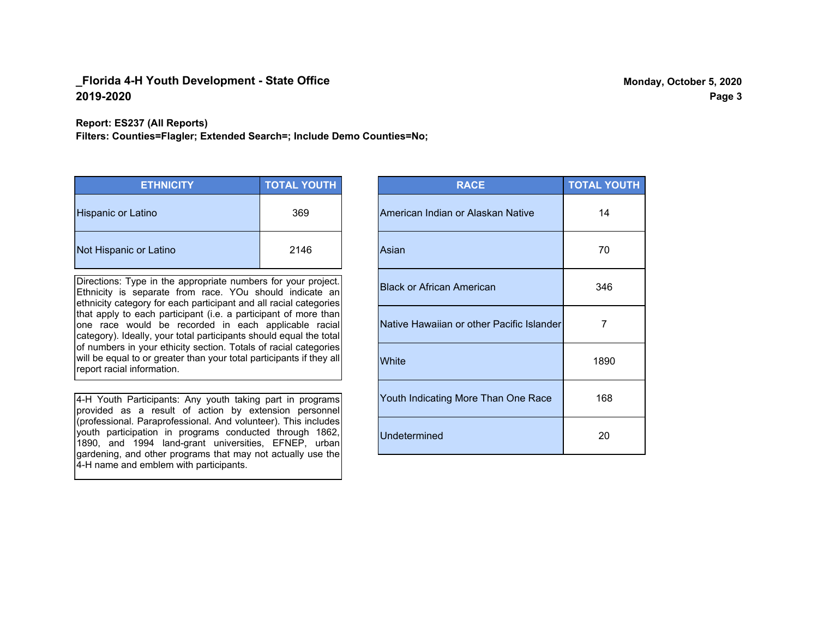#### **Report: ES237 (All Reports)**

**Filters: Counties=Flagler; Extended Search=; Include Demo Counties=No;**

| <b>ETHNICITY</b>          | <b>TOTAL YOUTH</b> |
|---------------------------|--------------------|
| <b>Hispanic or Latino</b> | 369                |
| Not Hispanic or Latino    | 2146               |

Directions: Type in the appropriate numbers for your project. Ethnicity is separate from race. YOu should indicate an ethnicity category for each participant and all racial categories that apply to each participant (i.e. a participant of more than one race would be recorded in each applicable racial category). Ideally, your total participants should equal the total of numbers in your ethicity section. Totals of racial categories will be equal to or greater than your total participants if they all report racial information.

4-H Youth Participants: Any youth taking part in programs provided as a result of action by extension personnel (professional. Paraprofessional. And volunteer). This includes youth participation in programs conducted through 1862, 1890, and 1994 land-grant universities, EFNEP, urban gardening, and other programs that may not actually use the 4-H name and emblem with participants.

| <b>RACE</b>                               | <b>TOTAL YOUTH</b> |
|-------------------------------------------|--------------------|
| American Indian or Alaskan Native         | 14                 |
| Asian                                     | 70                 |
| <b>Black or African American</b>          | 346                |
| Native Hawaiian or other Pacific Islander | 7                  |
| White                                     | 1890               |
| Youth Indicating More Than One Race       | 168                |
| <b>Undetermined</b>                       | 20                 |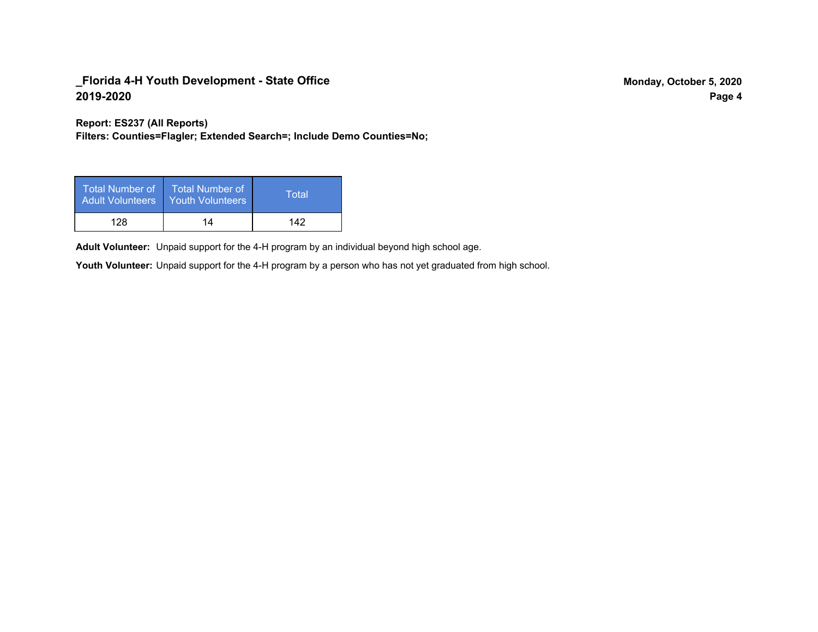**Report: ES237 (All Reports)**

**Filters: Counties=Flagler; Extended Search=; Include Demo Counties=No;**

| Total Number of<br><b>Adult Volunteers</b> | <b>Total Number of</b><br><b>Youth Volunteers</b> | Total |
|--------------------------------------------|---------------------------------------------------|-------|
| 128                                        | 14                                                | 142   |

Adult Volunteer: Unpaid support for the 4-H program by an individual beyond high school age.

Youth Volunteer: Unpaid support for the 4-H program by a person who has not yet graduated from high school.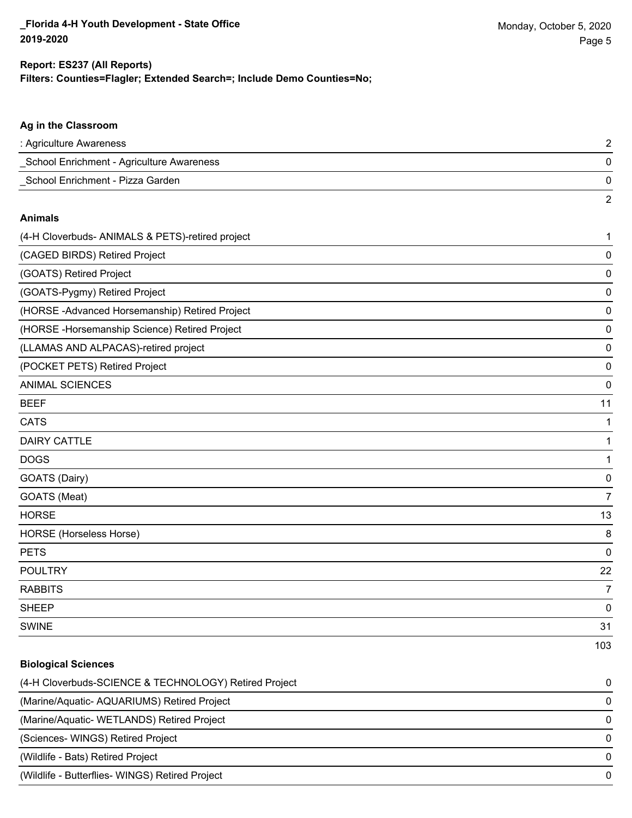2

#### **Filters: Counties=Flagler; Extended Search=; Include Demo Counties=No; Report: ES237 (All Reports)**

# **Ag in the Classroom** : Agriculture Awareness 2 \_School Enrichment - Agriculture Awareness 0 \_School Enrichment - Pizza Garden 0

#### **Animals**

| (4-H Cloverbuds- ANIMALS & PETS)-retired project | 1              |
|--------------------------------------------------|----------------|
| (CAGED BIRDS) Retired Project                    | 0              |
| (GOATS) Retired Project                          | 0              |
| (GOATS-Pygmy) Retired Project                    | 0              |
| (HORSE-Advanced Horsemanship) Retired Project    | 0              |
| (HORSE - Horsemanship Science) Retired Project   | 0              |
| (LLAMAS AND ALPACAS)-retired project             | 0              |
| (POCKET PETS) Retired Project                    | 0              |
| <b>ANIMAL SCIENCES</b>                           | 0              |
| <b>BEEF</b>                                      | 11             |
| <b>CATS</b>                                      | 1              |
| <b>DAIRY CATTLE</b>                              | 1              |
| <b>DOGS</b>                                      | 1              |
| GOATS (Dairy)                                    | 0              |
| GOATS (Meat)                                     | $\overline{7}$ |
| <b>HORSE</b>                                     | 13             |
| HORSE (Horseless Horse)                          | 8              |
| <b>PETS</b>                                      | 0              |
| <b>POULTRY</b>                                   | 22             |
| <b>RABBITS</b>                                   | $\overline{7}$ |
| <b>SHEEP</b>                                     | 0              |
| <b>SWINE</b>                                     | 31             |
|                                                  | 103            |

# **Biological Sciences**

| (4-H Cloverbuds-SCIENCE & TECHNOLOGY) Retired Project | $\Omega$ |
|-------------------------------------------------------|----------|
| (Marine/Aquatic-AQUARIUMS) Retired Project            | $\Omega$ |
| (Marine/Aquatic-WETLANDS) Retired Project             | $\Omega$ |
| (Sciences-WINGS) Retired Project                      | $\Omega$ |
| (Wildlife - Bats) Retired Project                     | $\Omega$ |
| (Wildlife - Butterflies- WINGS) Retired Project       |          |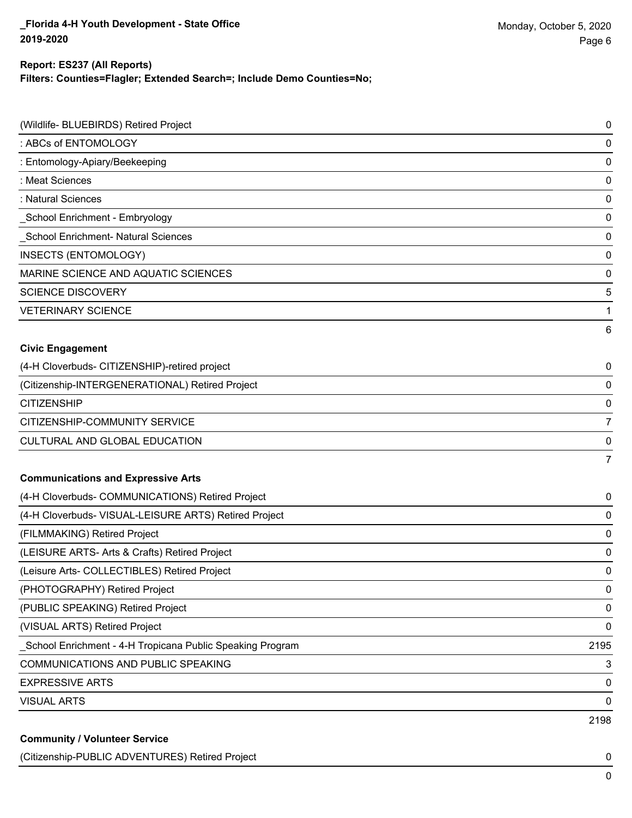#### **Report: ES237 (All Reports)**

**Filters: Counties=Flagler; Extended Search=; Include Demo Counties=No;**

| (Wildlife- BLUEBIRDS) Retired Project                     | 0              |
|-----------------------------------------------------------|----------------|
| : ABCs of ENTOMOLOGY                                      | 0              |
| : Entomology-Apiary/Beekeeping                            | 0              |
| : Meat Sciences                                           | 0              |
| : Natural Sciences                                        | 0              |
| School Enrichment - Embryology                            | 0              |
| School Enrichment- Natural Sciences                       | 0              |
| <b>INSECTS (ENTOMOLOGY)</b>                               | 0              |
| MARINE SCIENCE AND AQUATIC SCIENCES                       | 0              |
| <b>SCIENCE DISCOVERY</b>                                  | 5              |
| <b>VETERINARY SCIENCE</b>                                 | 1              |
|                                                           | 6              |
| <b>Civic Engagement</b>                                   |                |
| (4-H Cloverbuds- CITIZENSHIP)-retired project             | 0              |
| (Citizenship-INTERGENERATIONAL) Retired Project           | 0              |
| <b>CITIZENSHIP</b>                                        | 0              |
| CITIZENSHIP-COMMUNITY SERVICE                             | $\overline{7}$ |
| CULTURAL AND GLOBAL EDUCATION                             | 0              |
|                                                           | $\overline{7}$ |
| <b>Communications and Expressive Arts</b>                 |                |
| (4-H Cloverbuds- COMMUNICATIONS) Retired Project          | 0              |
| (4-H Cloverbuds- VISUAL-LEISURE ARTS) Retired Project     | 0              |
| (FILMMAKING) Retired Project                              | 0              |
| (LEISURE ARTS- Arts & Crafts) Retired Project             | 0              |
| (Leisure Arts- COLLECTIBLES) Retired Project              | 0              |
| (PHOTOGRAPHY) Retired Project                             | 0              |
| (PUBLIC SPEAKING) Retired Project                         | 0              |
| (VISUAL ARTS) Retired Project                             | 0              |
| School Enrichment - 4-H Tropicana Public Speaking Program | 2195           |
| <b>COMMUNICATIONS AND PUBLIC SPEAKING</b>                 | 3              |
| <b>EXPRESSIVE ARTS</b>                                    | 0              |
| <b>VISUAL ARTS</b>                                        | 0              |
|                                                           | 2198           |
| <b>Community / Volunteer Service</b>                      |                |

(Citizenship-PUBLIC ADVENTURES) Retired Project 0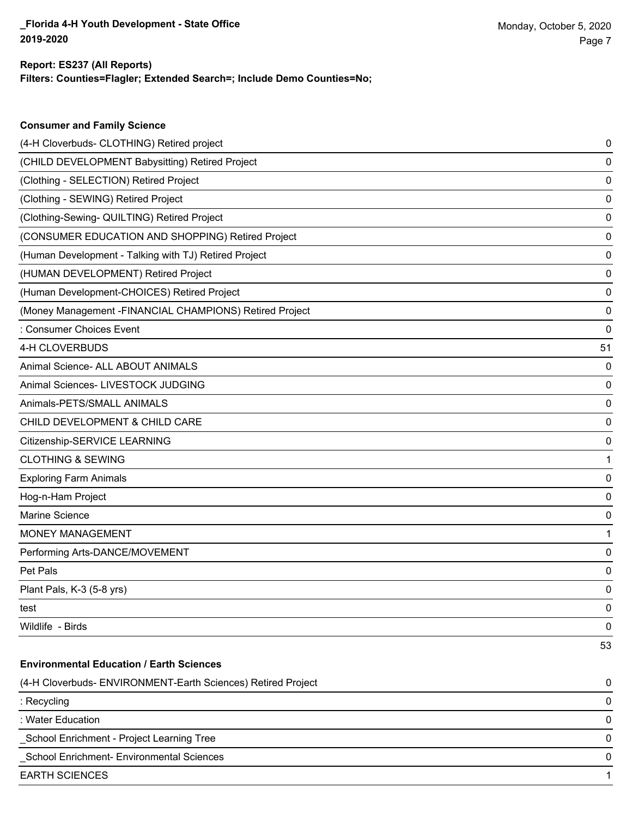#### **Filters: Counties=Flagler; Extended Search=; Include Demo Counties=No; Report: ES237 (All Reports)**

| <b>Consumer and Family Science</b>                           |    |
|--------------------------------------------------------------|----|
| (4-H Cloverbuds- CLOTHING) Retired project                   | 0  |
| (CHILD DEVELOPMENT Babysitting) Retired Project              | 0  |
| (Clothing - SELECTION) Retired Project                       | 0  |
| (Clothing - SEWING) Retired Project                          | 0  |
| (Clothing-Sewing- QUILTING) Retired Project                  | 0  |
| (CONSUMER EDUCATION AND SHOPPING) Retired Project            | 0  |
| (Human Development - Talking with TJ) Retired Project        | 0  |
| (HUMAN DEVELOPMENT) Retired Project                          | 0  |
| (Human Development-CHOICES) Retired Project                  | 0  |
| (Money Management - FINANCIAL CHAMPIONS) Retired Project     | 0  |
| : Consumer Choices Event                                     | 0  |
| 4-H CLOVERBUDS                                               | 51 |
| Animal Science- ALL ABOUT ANIMALS                            | 0  |
| Animal Sciences- LIVESTOCK JUDGING                           | 0  |
| Animals-PETS/SMALL ANIMALS                                   | 0  |
| CHILD DEVELOPMENT & CHILD CARE                               | 0  |
| Citizenship-SERVICE LEARNING                                 | 0  |
| <b>CLOTHING &amp; SEWING</b>                                 | 1  |
| <b>Exploring Farm Animals</b>                                | 0  |
| Hog-n-Ham Project                                            | 0  |
| Marine Science                                               | 0  |
| <b>MONEY MANAGEMENT</b>                                      | 1  |
| Performing Arts-DANCE/MOVEMENT                               | 0  |
| Pet Pals                                                     | 0  |
| Plant Pals, K-3 (5-8 yrs)                                    | 0  |
| test                                                         | 0  |
| Wildlife - Birds                                             | 0  |
|                                                              | 53 |
| <b>Environmental Education / Earth Sciences</b>              |    |
| (4-H Cloverbuds- ENVIRONMENT-Earth Sciences) Retired Project | 0  |
| : Recycling                                                  | 0  |
| : Water Education                                            | 0  |
| School Enrichment - Project Learning Tree                    | 0  |

\_School Enrichment- Environmental Sciences 0

EARTH SCIENCES 1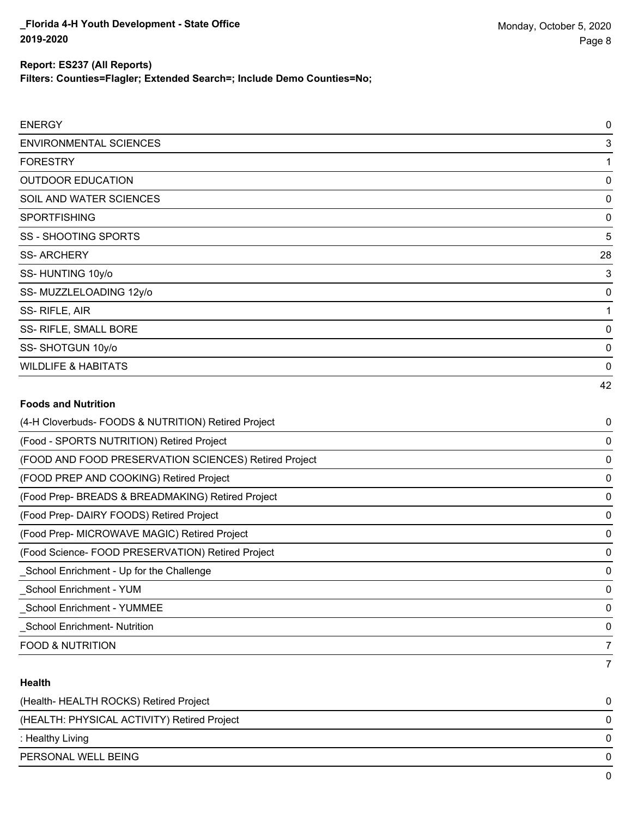**Filters: Counties=Flagler; Extended Search=; Include Demo Counties=No;**

| <b>ENERGY</b>                                         | 0        |
|-------------------------------------------------------|----------|
| <b>ENVIRONMENTAL SCIENCES</b>                         | 3        |
| <b>FORESTRY</b>                                       | 1        |
| <b>OUTDOOR EDUCATION</b>                              | $\Omega$ |
| SOIL AND WATER SCIENCES                               | 0        |
| <b>SPORTFISHING</b>                                   | 0        |
| <b>SS - SHOOTING SPORTS</b>                           | 5        |
| <b>SS-ARCHERY</b>                                     | 28       |
| SS-HUNTING 10y/o                                      | 3        |
| SS- MUZZLELOADING 12y/o                               | 0        |
| SS-RIFLE, AIR                                         | 1        |
| SS- RIFLE, SMALL BORE                                 | 0        |
| SS-SHOTGUN 10y/o                                      | 0        |
| <b>WILDLIFE &amp; HABITATS</b>                        | 0        |
|                                                       | 42       |
| <b>Foods and Nutrition</b>                            |          |
| (4-H Cloverbuds- FOODS & NUTRITION) Retired Project   | 0        |
| (Food - SPORTS NUTRITION) Retired Project             | 0        |
| (FOOD AND FOOD PRESERVATION SCIENCES) Retired Project | 0        |
| (FOOD PREP AND COOKING) Retired Project               | 0        |
| (Food Prep- BREADS & BREADMAKING) Retired Project     | 0        |
| (Food Prep- DAIRY FOODS) Retired Project              | 0        |
| (Food Prep- MICROWAVE MAGIC) Retired Project          | 0        |
| (Food Science- FOOD PRESERVATION) Retired Project     | 0        |

7 **Health** (Health- HEALTH ROCKS) Retired Project 0 (HEALTH: PHYSICAL ACTIVITY) Retired Project 0 : Healthy Living 0 PERSONAL WELL BEING 0 0

\_School Enrichment - Up for the Challenge 0 \_School Enrichment - YUM 0 \_School Enrichment - YUMMEE 0 \_School Enrichment- Nutrition 0 FOOD & NUTRITION **7**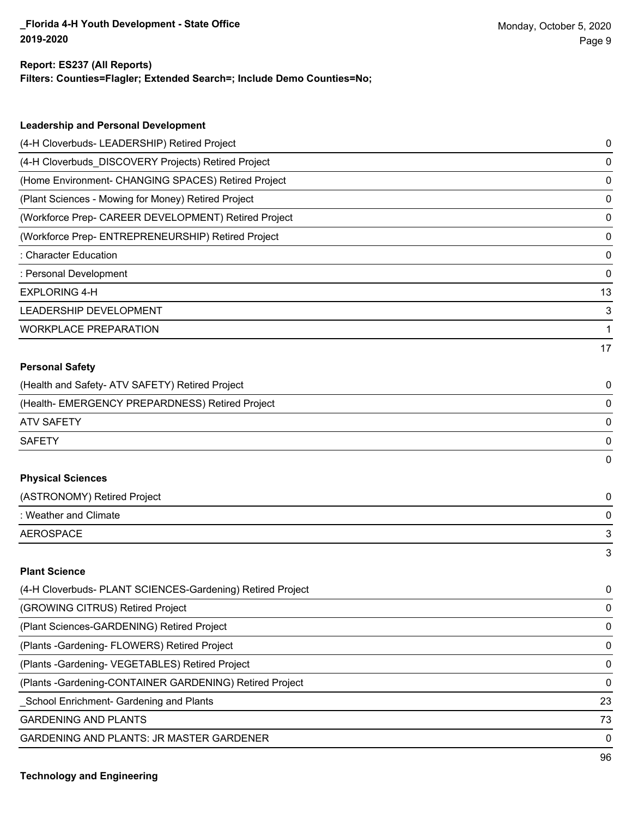#### **Report: ES237 (All Reports)**

**Filters: Counties=Flagler; Extended Search=; Include Demo Counties=No;**

| <b>Leadership and Personal Development</b>                 |    |
|------------------------------------------------------------|----|
| (4-H Cloverbuds- LEADERSHIP) Retired Project               | 0  |
| (4-H Cloverbuds_DISCOVERY Projects) Retired Project        | 0  |
| (Home Environment- CHANGING SPACES) Retired Project        | 0  |
| (Plant Sciences - Mowing for Money) Retired Project        | 0  |
| (Workforce Prep- CAREER DEVELOPMENT) Retired Project       | 0  |
| (Workforce Prep- ENTREPRENEURSHIP) Retired Project         | 0  |
| : Character Education                                      | 0  |
| : Personal Development                                     | 0  |
| <b>EXPLORING 4-H</b>                                       | 13 |
| LEADERSHIP DEVELOPMENT                                     | 3  |
| <b>WORKPLACE PREPARATION</b>                               | 1  |
|                                                            | 17 |
| <b>Personal Safety</b>                                     |    |
| (Health and Safety- ATV SAFETY) Retired Project            | 0  |
| (Health- EMERGENCY PREPARDNESS) Retired Project            | 0  |
| <b>ATV SAFETY</b>                                          | 0  |
| <b>SAFETY</b>                                              | 0  |
|                                                            | 0  |
| <b>Physical Sciences</b>                                   |    |
| (ASTRONOMY) Retired Project                                | 0  |
| : Weather and Climate                                      | 0  |
| <b>AEROSPACE</b>                                           | 3  |
|                                                            | 3  |
| <b>Plant Science</b>                                       |    |
| (4-H Cloverbuds- PLANT SCIENCES-Gardening) Retired Project | 0  |
| (GROWING CITRUS) Retired Project                           | 0  |
| (Plant Sciences-GARDENING) Retired Project                 | 0  |
| (Plants - Gardening - FLOWERS) Retired Project             | 0  |
| (Plants - Gardening - VEGETABLES) Retired Project          | 0  |
| (Plants - Gardening-CONTAINER GARDENING) Retired Project   | 0  |

\_School Enrichment- Gardening and Plants 23

GARDENING AND PLANTS 73

GARDENING AND PLANTS: JR MASTER GARDENER 0